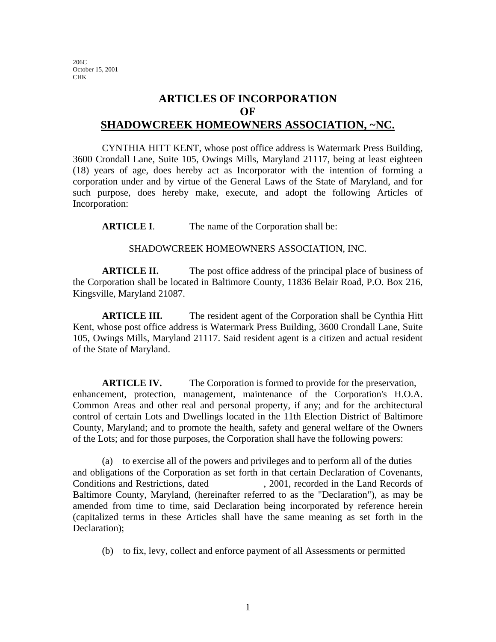206C October 15, 2001 CHK

## **ARTICLES OF INCORPORATION OF SHADOWCREEK HOMEOWNERS ASSOCIATION, ~NC.**

CYNTHIA HITT KENT, whose post office address is Watermark Press Building, 3600 Crondall Lane, Suite 105, Owings Mills, Maryland 21117, being at least eighteen (18) years of age, does hereby act as Incorporator with the intention of forming a corporation under and by virtue of the General Laws of the State of Maryland, and for such purpose, does hereby make, execute, and adopt the following Articles of Incorporation:

**ARTICLE I.** The name of the Corporation shall be:

## SHADOWCREEK HOMEOWNERS ASSOCIATION, INC.

**ARTICLE II.** The post office address of the principal place of business of the Corporation shall be located in Baltimore County, 11836 Belair Road, P.O. Box 216, Kingsville, Maryland 21087.

**ARTICLE III.** The resident agent of the Corporation shall be Cynthia Hitt Kent, whose post office address is Watermark Press Building, 3600 Crondall Lane, Suite 105, Owings Mills, Maryland 21117. Said resident agent is a citizen and actual resident of the State of Maryland.

**ARTICLE IV.** The Corporation is formed to provide for the preservation, enhancement, protection, management, maintenance of the Corporation's H.O.A. Common Areas and other real and personal property, if any; and for the architectural control of certain Lots and Dwellings located in the 11th Election District of Baltimore County, Maryland; and to promote the health, safety and general welfare of the Owners of the Lots; and for those purposes, the Corporation shall have the following powers:

(a) to exercise all of the powers and privileges and to perform all of the duties and obligations of the Corporation as set forth in that certain Declaration of Covenants, Conditions and Restrictions, dated , 2001, recorded in the Land Records of Baltimore County, Maryland, (hereinafter referred to as the "Declaration"), as may be amended from time to time, said Declaration being incorporated by reference herein (capitalized terms in these Articles shall have the same meaning as set forth in the Declaration);

(b) to fix, levy, collect and enforce payment of all Assessments or permitted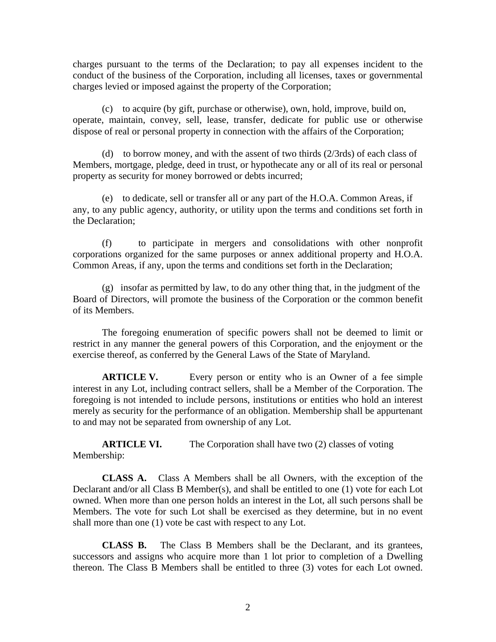charges pursuant to the terms of the Declaration; to pay all expenses incident to the conduct of the business of the Corporation, including all licenses, taxes or governmental charges levied or imposed against the property of the Corporation;

(c) to acquire (by gift, purchase or otherwise), own, hold, improve, build on, operate, maintain, convey, sell, lease, transfer, dedicate for public use or otherwise dispose of real or personal property in connection with the affairs of the Corporation;

(d) to borrow money, and with the assent of two thirds (2/3rds) of each class of Members, mortgage, pledge, deed in trust, or hypothecate any or all of its real or personal property as security for money borrowed or debts incurred;

(e) to dedicate, sell or transfer all or any part of the H.O.A. Common Areas, if any, to any public agency, authority, or utility upon the terms and conditions set forth in the Declaration;

(f) to participate in mergers and consolidations with other nonprofit corporations organized for the same purposes or annex additional property and H.O.A. Common Areas, if any, upon the terms and conditions set forth in the Declaration;

(g) insofar as permitted by law, to do any other thing that, in the judgment of the Board of Directors, will promote the business of the Corporation or the common benefit of its Members.

The foregoing enumeration of specific powers shall not be deemed to limit or restrict in any manner the general powers of this Corporation, and the enjoyment or the exercise thereof, as conferred by the General Laws of the State of Maryland.

**ARTICLE V.** Every person or entity who is an Owner of a fee simple interest in any Lot, including contract sellers, shall be a Member of the Corporation. The foregoing is not intended to include persons, institutions or entities who hold an interest merely as security for the performance of an obligation. Membership shall be appurtenant to and may not be separated from ownership of any Lot.

**ARTICLE VI.** The Corporation shall have two (2) classes of voting Membership:

**CLASS A.** Class A Members shall be all Owners, with the exception of the Declarant and/or all Class B Member(s), and shall be entitled to one (1) vote for each Lot owned. When more than one person holds an interest in the Lot, all such persons shall be Members. The vote for such Lot shall be exercised as they determine, but in no event shall more than one (1) vote be cast with respect to any Lot.

**CLASS B.** The Class B Members shall be the Declarant, and its grantees, successors and assigns who acquire more than 1 lot prior to completion of a Dwelling thereon. The Class B Members shall be entitled to three (3) votes for each Lot owned.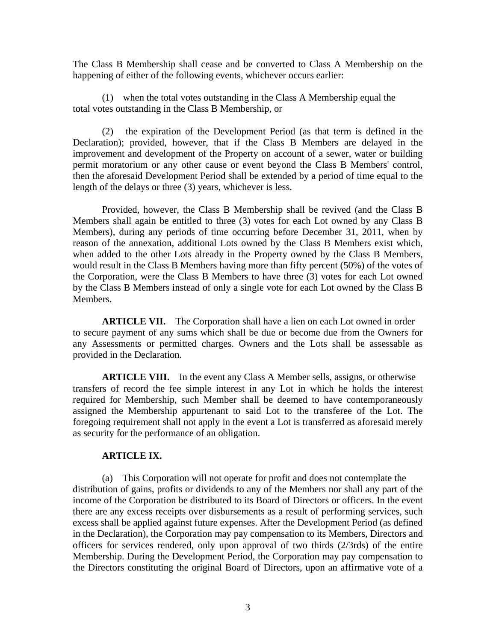The Class B Membership shall cease and be converted to Class A Membership on the happening of either of the following events, whichever occurs earlier:

(1) when the total votes outstanding in the Class A Membership equal the total votes outstanding in the Class B Membership, or

(2) the expiration of the Development Period (as that term is defined in the Declaration); provided, however, that if the Class B Members are delayed in the improvement and development of the Property on account of a sewer, water or building permit moratorium or any other cause or event beyond the Class B Members' control, then the aforesaid Development Period shall be extended by a period of time equal to the length of the delays or three (3) years, whichever is less.

Provided, however, the Class B Membership shall be revived (and the Class B Members shall again be entitled to three (3) votes for each Lot owned by any Class B Members), during any periods of time occurring before December 31, 2011, when by reason of the annexation, additional Lots owned by the Class B Members exist which, when added to the other Lots already in the Property owned by the Class B Members, would result in the Class B Members having more than fifty percent (50%) of the votes of the Corporation, were the Class B Members to have three (3) votes for each Lot owned by the Class B Members instead of only a single vote for each Lot owned by the Class B Members.

**ARTICLE VII.** The Corporation shall have a lien on each Lot owned in order to secure payment of any sums which shall be due or become due from the Owners for any Assessments or permitted charges. Owners and the Lots shall be assessable as provided in the Declaration.

**ARTICLE VIII.** In the event any Class A Member sells, assigns, or otherwise transfers of record the fee simple interest in any Lot in which he holds the interest required for Membership, such Member shall be deemed to have contemporaneously assigned the Membership appurtenant to said Lot to the transferee of the Lot. The foregoing requirement shall not apply in the event a Lot is transferred as aforesaid merely as security for the performance of an obligation.

## **ARTICLE IX.**

(a) This Corporation will not operate for profit and does not contemplate the distribution of gains, profits or dividends to any of the Members nor shall any part of the income of the Corporation be distributed to its Board of Directors or officers. In the event there are any excess receipts over disbursements as a result of performing services, such excess shall be applied against future expenses. After the Development Period (as defined in the Declaration), the Corporation may pay compensation to its Members, Directors and officers for services rendered, only upon approval of two thirds (2/3rds) of the entire Membership. During the Development Period, the Corporation may pay compensation to the Directors constituting the original Board of Directors, upon an affirmative vote of a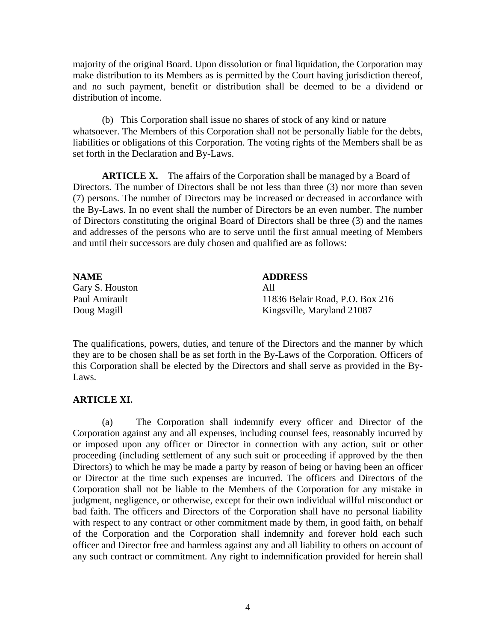majority of the original Board. Upon dissolution or final liquidation, the Corporation may make distribution to its Members as is permitted by the Court having jurisdiction thereof, and no such payment, benefit or distribution shall be deemed to be a dividend or distribution of income.

(b) This Corporation shall issue no shares of stock of any kind or nature whatsoever. The Members of this Corporation shall not be personally liable for the debts, liabilities or obligations of this Corporation. The voting rights of the Members shall be as set forth in the Declaration and By-Laws.

**ARTICLE X.** The affairs of the Corporation shall be managed by a Board of Directors. The number of Directors shall be not less than three (3) nor more than seven (7) persons. The number of Directors may be increased or decreased in accordance with the By-Laws. In no event shall the number of Directors be an even number. The number of Directors constituting the original Board of Directors shall be three (3) and the names and addresses of the persons who are to serve until the first annual meeting of Members and until their successors are duly chosen and qualified are as follows:

| <b>NAME</b>     | <b>ADDRESS</b>                  |
|-----------------|---------------------------------|
| Gary S. Houston | All                             |
| Paul Amirault   | 11836 Belair Road, P.O. Box 216 |
| Doug Magill     | Kingsville, Maryland 21087      |

The qualifications, powers, duties, and tenure of the Directors and the manner by which they are to be chosen shall be as set forth in the By-Laws of the Corporation. Officers of this Corporation shall be elected by the Directors and shall serve as provided in the By-Laws.

## **ARTICLE XI.**

(a) The Corporation shall indemnify every officer and Director of the Corporation against any and all expenses, including counsel fees, reasonably incurred by or imposed upon any officer or Director in connection with any action, suit or other proceeding (including settlement of any such suit or proceeding if approved by the then Directors) to which he may be made a party by reason of being or having been an officer or Director at the time such expenses are incurred. The officers and Directors of the Corporation shall not be liable to the Members of the Corporation for any mistake in judgment, negligence, or otherwise, except for their own individual willful misconduct or bad faith. The officers and Directors of the Corporation shall have no personal liability with respect to any contract or other commitment made by them, in good faith, on behalf of the Corporation and the Corporation shall indemnify and forever hold each such officer and Director free and harmless against any and all liability to others on account of any such contract or commitment. Any right to indemnification provided for herein shall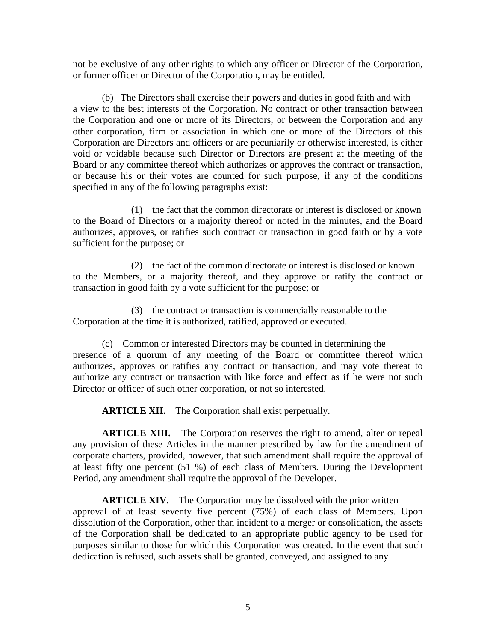not be exclusive of any other rights to which any officer or Director of the Corporation, or former officer or Director of the Corporation, may be entitled.

(b) The Directors shall exercise their powers and duties in good faith and with a view to the best interests of the Corporation. No contract or other transaction between the Corporation and one or more of its Directors, or between the Corporation and any other corporation, firm or association in which one or more of the Directors of this Corporation are Directors and officers or are pecuniarily or otherwise interested, is either void or voidable because such Director or Directors are present at the meeting of the Board or any committee thereof which authorizes or approves the contract or transaction, or because his or their votes are counted for such purpose, if any of the conditions specified in any of the following paragraphs exist:

(1) the fact that the common directorate or interest is disclosed or known to the Board of Directors or a majority thereof or noted in the minutes, and the Board authorizes, approves, or ratifies such contract or transaction in good faith or by a vote sufficient for the purpose; or

(2) the fact of the common directorate or interest is disclosed or known to the Members, or a majority thereof, and they approve or ratify the contract or transaction in good faith by a vote sufficient for the purpose; or

(3) the contract or transaction is commercially reasonable to the Corporation at the time it is authorized, ratified, approved or executed.

(c) Common or interested Directors may be counted in determining the presence of a quorum of any meeting of the Board or committee thereof which authorizes, approves or ratifies any contract or transaction, and may vote thereat to authorize any contract or transaction with like force and effect as if he were not such Director or officer of such other corporation, or not so interested.

**ARTICLE XII.** The Corporation shall exist perpetually.

**ARTICLE XIII.** The Corporation reserves the right to amend, alter or repeal any provision of these Articles in the manner prescribed by law for the amendment of corporate charters, provided, however, that such amendment shall require the approval of at least fifty one percent (51 %) of each class of Members. During the Development Period, any amendment shall require the approval of the Developer.

**ARTICLE XIV.** The Corporation may be dissolved with the prior written approval of at least seventy five percent (75%) of each class of Members. Upon dissolution of the Corporation, other than incident to a merger or consolidation, the assets of the Corporation shall be dedicated to an appropriate public agency to be used for purposes similar to those for which this Corporation was created. In the event that such dedication is refused, such assets shall be granted, conveyed, and assigned to any